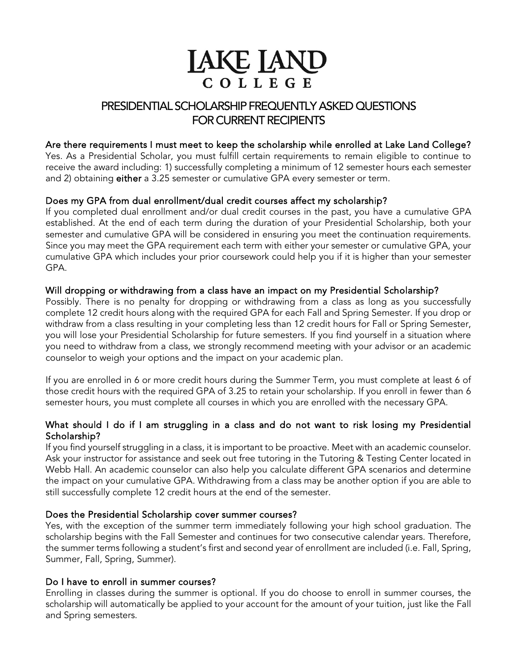# **LAKE LAND** COLLEGE

## PRESIDENTIAL SCHOLARSHIP FREQUENTLY ASKED QUESTIONS FOR CURRENT RECIPIENTS

## Are there requirements I must meet to keep the scholarship while enrolled at Lake Land College?

Yes. As a Presidential Scholar, you must fulfill certain requirements to remain eligible to continue to receive the award including: 1) successfully completing a minimum of 12 semester hours each semester and 2) obtaining either a 3.25 semester or cumulative GPA every semester or term.

## Does my GPA from dual enrollment/dual credit courses affect my scholarship?

If you completed dual enrollment and/or dual credit courses in the past, you have a cumulative GPA established. At the end of each term during the duration of your Presidential Scholarship, both your semester and cumulative GPA will be considered in ensuring you meet the continuation requirements. Since you may meet the GPA requirement each term with either your semester or cumulative GPA, your cumulative GPA which includes your prior coursework could help you if it is higher than your semester GPA.

## Will dropping or withdrawing from a class have an impact on my Presidential Scholarship?

Possibly. There is no penalty for dropping or withdrawing from a class as long as you successfully complete 12 credit hours along with the required GPA for each Fall and Spring Semester. If you drop or withdraw from a class resulting in your completing less than 12 credit hours for Fall or Spring Semester, you will lose your Presidential Scholarship for future semesters. If you find yourself in a situation where you need to withdraw from a class, we strongly recommend meeting with your advisor or an academic counselor to weigh your options and the impact on your academic plan.

If you are enrolled in 6 or more credit hours during the Summer Term, you must complete at least 6 of those credit hours with the required GPA of 3.25 to retain your scholarship. If you enroll in fewer than 6 semester hours, you must complete all courses in which you are enrolled with the necessary GPA.

## What should I do if I am struggling in a class and do not want to risk losing my Presidential Scholarship?

If you find yourself struggling in a class, it is important to be proactive. Meet with an academic counselor. Ask your instructor for assistance and seek out free tutoring in the Tutoring & Testing Center located in Webb Hall. An academic counselor can also help you calculate different GPA scenarios and determine the impact on your cumulative GPA. Withdrawing from a class may be another option if you are able to still successfully complete 12 credit hours at the end of the semester.

## Does the Presidential Scholarship cover summer courses?

Yes, with the exception of the summer term immediately following your high school graduation. The scholarship begins with the Fall Semester and continues for two consecutive calendar years. Therefore, the summer terms following a student's first and second year of enrollment are included (i.e. Fall, Spring, Summer, Fall, Spring, Summer).

#### Do I have to enroll in summer courses?

Enrolling in classes during the summer is optional. If you do choose to enroll in summer courses, the scholarship will automatically be applied to your account for the amount of your tuition, just like the Fall and Spring semesters.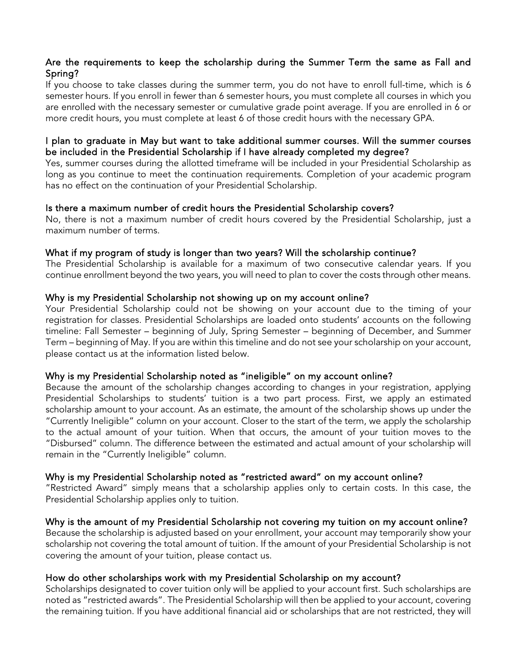## Are the requirements to keep the scholarship during the Summer Term the same as Fall and Spring?

If you choose to take classes during the summer term, you do not have to enroll full-time, which is 6 semester hours. If you enroll in fewer than 6 semester hours, you must complete all courses in which you are enrolled with the necessary semester or cumulative grade point average. If you are enrolled in 6 or more credit hours, you must complete at least 6 of those credit hours with the necessary GPA.

#### I plan to graduate in May but want to take additional summer courses. Will the summer courses be included in the Presidential Scholarship if I have already completed my degree?

Yes, summer courses during the allotted timeframe will be included in your Presidential Scholarship as long as you continue to meet the continuation requirements. Completion of your academic program has no effect on the continuation of your Presidential Scholarship.

#### Is there a maximum number of credit hours the Presidential Scholarship covers?

No, there is not a maximum number of credit hours covered by the Presidential Scholarship, just a maximum number of terms.

#### What if my program of study is longer than two years? Will the scholarship continue?

The Presidential Scholarship is available for a maximum of two consecutive calendar years. If you continue enrollment beyond the two years, you will need to plan to cover the costs through other means.

#### Why is my Presidential Scholarship not showing up on my account online?

Your Presidential Scholarship could not be showing on your account due to the timing of your registration for classes. Presidential Scholarships are loaded onto students' accounts on the following timeline: Fall Semester – beginning of July, Spring Semester – beginning of December, and Summer Term – beginning of May. If you are within this timeline and do not see your scholarship on your account, please contact us at the information listed below.

#### Why is my Presidential Scholarship noted as "ineligible" on my account online?

Because the amount of the scholarship changes according to changes in your registration, applying Presidential Scholarships to students' tuition is a two part process. First, we apply an estimated scholarship amount to your account. As an estimate, the amount of the scholarship shows up under the "Currently Ineligible" column on your account. Closer to the start of the term, we apply the scholarship to the actual amount of your tuition. When that occurs, the amount of your tuition moves to the "Disbursed" column. The difference between the estimated and actual amount of your scholarship will remain in the "Currently Ineligible" column.

#### Why is my Presidential Scholarship noted as "restricted award" on my account online?

"Restricted Award" simply means that a scholarship applies only to certain costs. In this case, the Presidential Scholarship applies only to tuition.

## Why is the amount of my Presidential Scholarship not covering my tuition on my account online?

Because the scholarship is adjusted based on your enrollment, your account may temporarily show your scholarship not covering the total amount of tuition. If the amount of your Presidential Scholarship is not covering the amount of your tuition, please contact us.

## How do other scholarships work with my Presidential Scholarship on my account?

Scholarships designated to cover tuition only will be applied to your account first. Such scholarships are noted as "restricted awards". The Presidential Scholarship will then be applied to your account, covering the remaining tuition. If you have additional financial aid or scholarships that are not restricted, they will